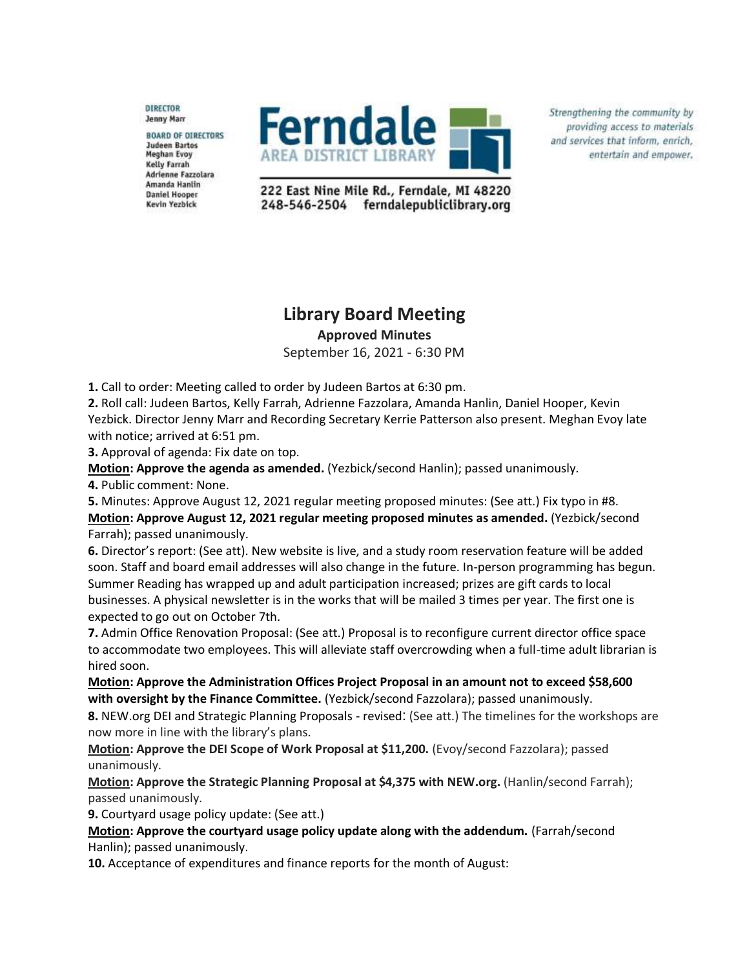**DIRECTOR Jenny Marr** 

**BOARD OF DIRECTORS Judeen Bartos Meghan Evoy Kelly Farrah** Adrienne Fazzolara Amanda Hanlin **Daniel Hooper Kevin Yezbick** 



Strengthening the community by providing access to materials and services that inform, enrich, entertain and empower.

222 East Nine Mile Rd., Ferndale, MI 48220 248-546-2504 ferndalepubliclibrary.org

# **Library Board Meeting**

**Approved Minutes**

September 16, 2021 - 6:30 PM

**1.** Call to order: Meeting called to order by Judeen Bartos at 6:30 pm.

**2.** Roll call: Judeen Bartos, Kelly Farrah, Adrienne Fazzolara, Amanda Hanlin, Daniel Hooper, Kevin Yezbick. Director Jenny Marr and Recording Secretary Kerrie Patterson also present. Meghan Evoy late with notice; arrived at 6:51 pm.

**3.** Approval of agenda: Fix date on top.

**Motion: Approve the agenda as amended.** (Yezbick/second Hanlin); passed unanimously.

**4.** Public comment: None.

**5.** Minutes: Approve August 12, 2021 regular meeting proposed minutes: (See att.) Fix typo in #8. **Motion: Approve August 12, 2021 regular meeting proposed minutes as amended.** (Yezbick/second Farrah); passed unanimously.

**6.** Director's report: (See att). New website is live, and a study room reservation feature will be added soon. Staff and board email addresses will also change in the future. In-person programming has begun. Summer Reading has wrapped up and adult participation increased; prizes are gift cards to local businesses. A physical newsletter is in the works that will be mailed 3 times per year. The first one is expected to go out on October 7th.

**7.** Admin Office Renovation Proposal: (See att.) Proposal is to reconfigure current director office space to accommodate two employees. This will alleviate staff overcrowding when a full-time adult librarian is hired soon.

**Motion: Approve the Administration Offices Project Proposal in an amount not to exceed \$58,600 with oversight by the Finance Committee.** (Yezbick/second Fazzolara); passed unanimously.

**8.** NEW.org DEI and Strategic Planning Proposals - revised: (See att.) The timelines for the workshops are now more in line with the library's plans.

**Motion: Approve the DEI Scope of Work Proposal at \$11,200.** (Evoy/second Fazzolara); passed unanimously.

**Motion: Approve the Strategic Planning Proposal at \$4,375 with NEW.org.** (Hanlin/second Farrah); passed unanimously.

**9.** Courtyard usage policy update: (See att.)

**Motion: Approve the courtyard usage policy update along with the addendum.** (Farrah/second Hanlin); passed unanimously.

**10.** Acceptance of expenditures and finance reports for the month of August: